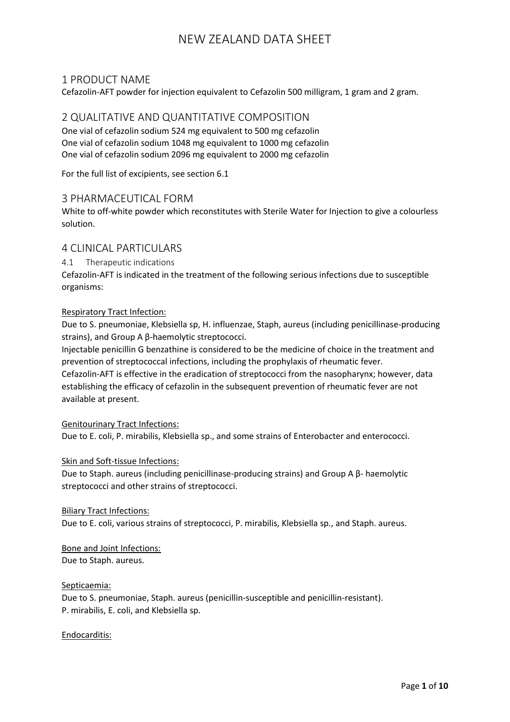### 1 PRODUCT NAME

Cefazolin-AFT powder for injection equivalent to Cefazolin 500 milligram, 1 gram and 2 gram.

### 2 QUALITATIVE AND QUANTITATIVE COMPOSITION

One vial of cefazolin sodium 524 mg equivalent to 500 mg cefazolin One vial of cefazolin sodium 1048 mg equivalent to 1000 mg cefazolin One vial of cefazolin sodium 2096 mg equivalent to 2000 mg cefazolin

For the full list of excipients, see section 6.1

### 3 PHARMACEUTICAL FORM

White to off-white powder which reconstitutes with Sterile Water for Injection to give a colourless solution.

#### 4 CLINICAL PARTICULARS

4.1 Therapeutic indications

Cefazolin-AFT is indicated in the treatment of the following serious infections due to susceptible organisms:

#### Respiratory Tract Infection:

Due to S. pneumoniae, Klebsiella sp, H. influenzae, Staph, aureus (including penicillinase-producing strains), and Group A β-haemolytic streptococci.

Injectable penicillin G benzathine is considered to be the medicine of choice in the treatment and prevention of streptococcal infections, including the prophylaxis of rheumatic fever.

Cefazolin-AFT is effective in the eradication of streptococci from the nasopharynx; however, data establishing the efficacy of cefazolin in the subsequent prevention of rheumatic fever are not available at present.

#### Genitourinary Tract Infections:

Due to E. coli, P. mirabilis, Klebsiella sp., and some strains of Enterobacter and enterococci.

#### Skin and Soft-tissue Infections:

Due to Staph. aureus (including penicillinase-producing strains) and Group A β- haemolytic streptococci and other strains of streptococci.

#### Biliary Tract Infections:

Due to E. coli, various strains of streptococci, P. mirabilis, Klebsiella sp., and Staph. aureus.

#### Bone and Joint Infections: Due to Staph. aureus.

#### Septicaemia:

Due to S. pneumoniae, Staph. aureus (penicillin-susceptible and penicillin-resistant). P. mirabilis, E. coli, and Klebsiella sp.

#### Endocarditis: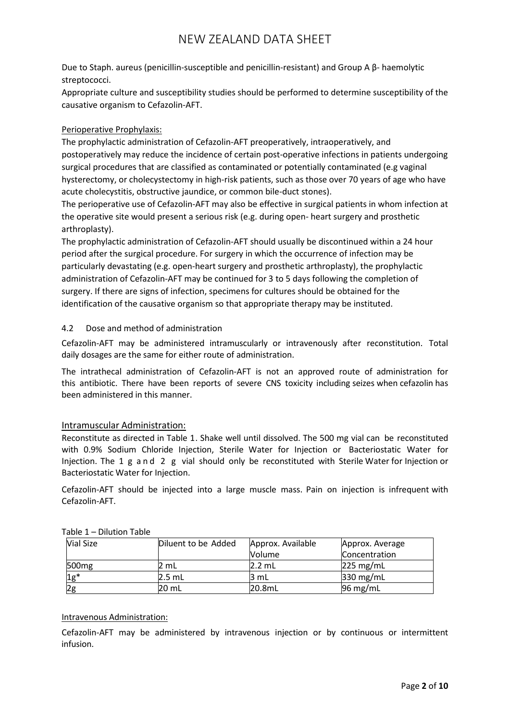Due to Staph. aureus (penicillin-susceptible and penicillin-resistant) and Group A β- haemolytic streptococci.

Appropriate culture and susceptibility studies should be performed to determine susceptibility of the causative organism to Cefazolin-AFT.

### Perioperative Prophylaxis:

The prophylactic administration of Cefazolin-AFT preoperatively, intraoperatively, and postoperatively may reduce the incidence of certain post-operative infections in patients undergoing surgical procedures that are classified as contaminated or potentially contaminated (e.g vaginal hysterectomy, or cholecystectomy in high-risk patients, such as those over 70 years of age who have acute cholecystitis, obstructive jaundice, or common bile-duct stones).

The perioperative use of Cefazolin-AFT may also be effective in surgical patients in whom infection at the operative site would present a serious risk (e.g. during open- heart surgery and prosthetic arthroplasty).

The prophylactic administration of Cefazolin-AFT should usually be discontinued within a 24 hour period after the surgical procedure. For surgery in which the occurrence of infection may be particularly devastating (e.g. open-heart surgery and prosthetic arthroplasty), the prophylactic administration of Cefazolin-AFT may be continued for 3 to 5 days following the completion of surgery. If there are signs of infection, specimens for cultures should be obtained for the identification of the causative organism so that appropriate therapy may be instituted.

### 4.2 Dose and method of administration

Cefazolin-AFT may be administered intramuscularly or intravenously after reconstitution. Total daily dosages are the same for either route of administration.

The intrathecal administration of Cefazolin-AFT is not an approved route of administration for this antibiotic. There have been reports of severe CNS toxicity including seizes when cefazolin has been administered in this manner.

### Intramuscular Administration:

Reconstitute as directed in Table 1. Shake well until dissolved. The 500 mg vial can be reconstituted with 0.9% Sodium Chloride Injection, Sterile Water for Injection or Bacteriostatic Water for Injection. The 1 g and 2 g vial should only be reconstituted with Sterile Water for Injection or Bacteriostatic Water for Injection.

Cefazolin-AFT should be injected into a large muscle mass. Pain on injection is infrequent with Cefazolin-AFT.

| <b>Vial Size</b>  | Diluent to be Added | Approx. Available<br><b>Volume</b> | Approx. Average<br>Concentration |
|-------------------|---------------------|------------------------------------|----------------------------------|
| 500 <sub>mg</sub> | mL                  | $2.2 \text{ mL}$                   | $225 \text{ mg/mL}$              |
| $1g^*$            | $2.5$ mL            | 3 mL                               | $330 \text{ mg/mL}$              |
|                   | 20 mL               | 20.8mL                             | $96 \,\mathrm{mg/mL}$            |

#### Table 1 – Dilution Table

#### Intravenous Administration:

Cefazolin-AFT may be administered by intravenous injection or by continuous or intermittent infusion.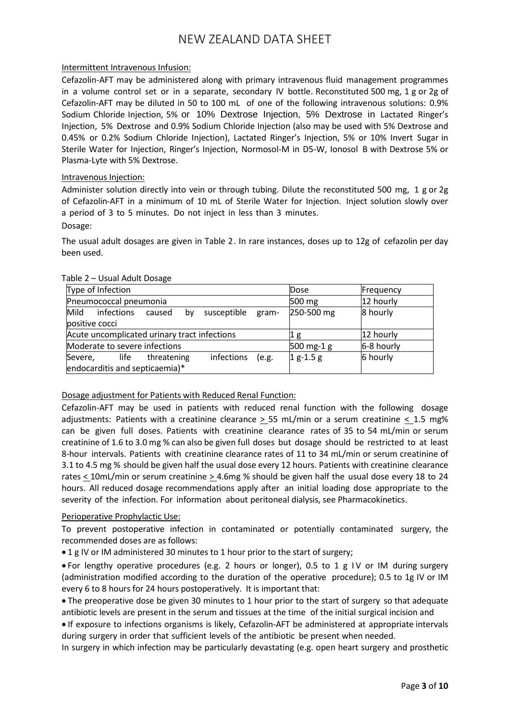#### Intermittent Intravenous Infusion:

Cefazolin-AFT may be administered along with primary intravenous fluid management programmes in a volume control set or in a separate, secondary IV bottle. Reconstituted 500 mg, 1 g or 2g of Cefazolin-AFT may be diluted in 50 to 100 mL of one of the following intravenous solutions: 0.9% Sodium Chloride Injection, 5% or 10% Dextrose Injection, 5% Dextrose in Lactated Ringer's Injection, 5% Dextrose and 0.9% Sodium Chloride Injection (also may be used with 5% Dextrose and 0.45% or 0.2% Sodium Chloride Injection), Lactated Ringer's Injection, 5% or 10% Invert Sugar in Sterile Water for Injection, Ringer's Injection, Normosol-M in D5-W, Ionosol B with Dextrose 5% or Plasma-Lyte with 5% Dextrose.

#### Intravenous Injection:

Administer solution directly into vein or through tubing. Dilute the reconstituted 500 mg, 1 g or 2g of Cefazolin-AFT in a minimum of 10 mL of Sterile Water for Injection. Inject solution slowly over a period of 3 to 5 minutes. Do not inject in less than 3 minutes. Dosage:

The usual adult dosages are given in Table 2. In rare instances, doses up to 12g of cefazolin per day been used.

| Type of Infection                                       | Dose<br>Frequency          |
|---------------------------------------------------------|----------------------------|
| Pneumococcal pneumonia                                  | 12 hourly<br>500 mg        |
| infections<br>Mild<br>susceptible gram-<br>by<br>caused | 250-500 mg<br>8 hourly     |
| positive cocci                                          |                            |
| Acute uncomplicated urinary tract infections            | 12 hourly<br>Ίg            |
| Moderate to severe infections                           | 6-8 hourly<br>$500$ mg-1 g |
| infections<br>Severe, life threatening<br>(e.g.         | 6 hourly<br>$1$ g-1.5 g    |
| endocarditis and septicaemia)*                          |                            |

#### Table 2 – Usual Adult Dosage

### Dosage adjustment for Patients with Reduced Renal Function:

Cefazolin-AFT may be used in patients with reduced renal function with the following dosage adjustments: Patients with a creatinine clearance > 55 mL/min or a serum creatinine < 1.5 mg% can be given full doses. Patients with creatinine clearance rates of 35 to 54 mL/min or serum creatinine of 1.6 to 3.0 mg % can also be given full doses but dosage should be restricted to at least 8-hour intervals. Patients with creatinine clearance rates of 11 to 34 mL/min or serum creatinine of 3.1 to 4.5 mg % should be given half the usual dose every 12 hours. Patients with creatinine clearance rates < 10mL/min or serum creatinine > 4.6mg % should be given half the usual dose every 18 to 24 hours. All reduced dosage recommendations apply after an initial loading dose appropriate to the severity of the infection. For information about peritoneal dialysis, see Pharmacokinetics.

#### Perioperative Prophylactic Use:

To prevent postoperative infection in contaminated or potentially contaminated surgery, the recommended doses are as follows:

• 1 g IV or IM administered 30 minutes to 1 hour prior to the start of surgery;

• For lengthy operative procedures (e.g. 2 hours or longer), 0.5 to 1 g I V or IM during surgery (administration modified according to the duration of the operative procedure); 0.5 to 1g IV or IM every 6 to 8 hours for 24 hours postoperatively. It is important that:

• The preoperative dose be given 30 minutes to 1 hour prior to the start of surgery so that adequate antibiotic levels are present in the serum and tissues at the time of the initial surgical incision and

• If exposure to infections organisms is likely, Cefazolin-AFT be administered at appropriate intervals during surgery in order that sufficient levels of the antibiotic be present when needed.

In surgery in which infection may be particularly devastating (e.g. open heart surgery and prosthetic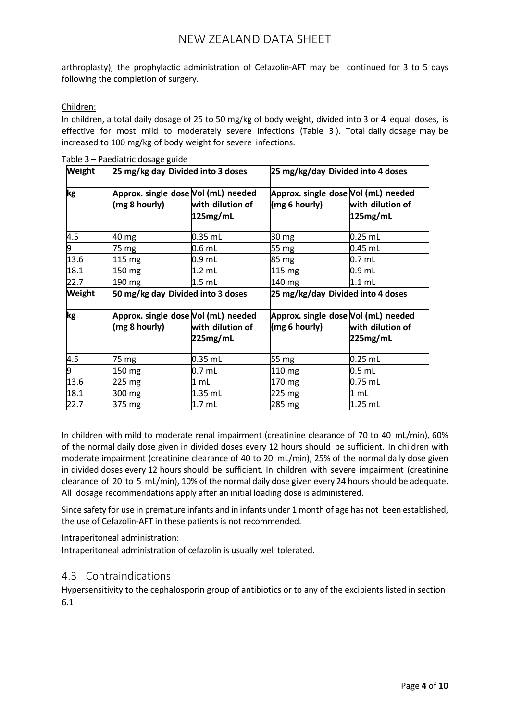arthroplasty), the prophylactic administration of Cefazolin-AFT may be continued for 3 to 5 days following the completion of surgery.

#### Children:

In children, a total daily dosage of 25 to 50 mg/kg of body weight, divided into 3 or 4 equal doses, is effective for most mild to moderately severe infections (Table 3 ). Total daily dosage may be increased to 100 mg/kg of body weight for severe infections.

| Weight         | 25 mg/kg day Divided into 3 doses                    |                                   | 25 mg/kg/day Divided into 4 doses                    |                                   |  |  |
|----------------|------------------------------------------------------|-----------------------------------|------------------------------------------------------|-----------------------------------|--|--|
| kg             | Approx. single dose Vol (mL) needed<br>(mg 8 hourly) | with dilution of<br>125mg/mL      | Approx. single dose Vol (mL) needed<br>(mg 6 hourly) | with dilution of<br>125mg/mL      |  |  |
| 4.5            | 40 mg                                                | $0.35$ mL                         | 30 mg                                                | $0.25$ mL                         |  |  |
| 9              | 75 mg                                                | $0.6$ mL                          | 55 mg                                                | $0.45$ mL                         |  |  |
| 13.6           | $115 \text{ mg}$                                     | $0.9$ mL                          | 85 mg                                                | $0.7$ mL                          |  |  |
| 18.1           | 150 mg                                               | $1.2$ mL                          | $115 \text{ mg}$                                     | $0.9$ mL                          |  |  |
| 22.7           | 190 mg                                               | $1.5$ mL                          | 140 mg                                               | $1.1$ mL                          |  |  |
| Weight         |                                                      | 50 mg/kg day Divided into 3 doses |                                                      | 25 mg/kg/day Divided into 4 doses |  |  |
| kg             | Approx. single dose Vol (mL) needed<br>(mg 8 hourly) | with dilution of<br>225mg/mL      | Approx. single dose Vol (mL) needed<br>(mg 6 hourly) | with dilution of<br>225mg/mL      |  |  |
| 4.5            | 75 mg                                                | $0.35$ mL                         | 55 mg                                                | $0.25$ mL                         |  |  |
| $\overline{9}$ | 150 mg                                               | 0.7 mL                            | 110 mg                                               | $0.5$ mL                          |  |  |
| 13.6           | 225 mg                                               | 1 mL                              | 170 mg                                               | $0.75$ mL                         |  |  |
| 18.1           | 300 mg                                               | $1.35$ mL                         | 225 mg                                               | 1 mL                              |  |  |
| 22.7           | 375 mg                                               | 1.7 <sub>mL</sub>                 | 285 mg                                               | 1.25 mL                           |  |  |

|  | Table 3 – Paediatric dosage guide |  |
|--|-----------------------------------|--|
|  |                                   |  |

In children with mild to moderate renal impairment (creatinine clearance of 70 to 40 mL/min), 60% of the normal daily dose given in divided doses every 12 hours should be sufficient. In children with moderate impairment (creatinine clearance of 40 to 20 mL/min), 25% of the normal daily dose given in divided doses every 12 hours should be sufficient. In children with severe impairment (creatinine clearance of 20 to 5 mL/min), 10% of the normal daily dose given every 24 hours should be adequate. All dosage recommendations apply after an initial loading dose is administered.

Since safety for use in premature infants and in infants under 1 month of age has not been established, the use of Cefazolin-AFT in these patients is not recommended.

Intraperitoneal administration:

Intraperitoneal administration of cefazolin is usually well tolerated.

## 4.3 Contraindications

Hypersensitivity to the cephalosporin group of antibiotics or to any of the excipients listed in section 6.1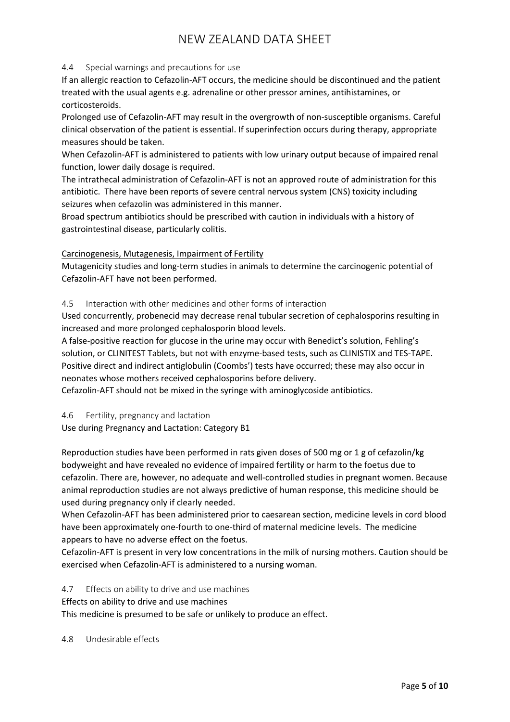#### 4.4 Special warnings and precautions for use

If an allergic reaction to Cefazolin-AFT occurs, the medicine should be discontinued and the patient treated with the usual agents e.g. adrenaline or other pressor amines, antihistamines, or corticosteroids.

Prolonged use of Cefazolin-AFT may result in the overgrowth of non-susceptible organisms. Careful clinical observation of the patient is essential. If superinfection occurs during therapy, appropriate measures should be taken.

When Cefazolin-AFT is administered to patients with low urinary output because of impaired renal function, lower daily dosage is required.

The intrathecal administration of Cefazolin-AFT is not an approved route of administration for this antibiotic. There have been reports of severe central nervous system (CNS) toxicity including seizures when cefazolin was administered in this manner.

Broad spectrum antibiotics should be prescribed with caution in individuals with a history of gastrointestinal disease, particularly colitis.

#### Carcinogenesis, Mutagenesis, Impairment of Fertility

Mutagenicity studies and long-term studies in animals to determine the carcinogenic potential of Cefazolin-AFT have not been performed.

#### 4.5 Interaction with other medicines and other forms of interaction

Used concurrently, probenecid may decrease renal tubular secretion of cephalosporins resulting in increased and more prolonged cephalosporin blood levels.

A false-positive reaction for glucose in the urine may occur with Benedict's solution, Fehling's solution, or CLINITEST Tablets, but not with enzyme-based tests, such as CLINISTIX and TES-TAPE. Positive direct and indirect antiglobulin (Coombs') tests have occurred; these may also occur in neonates whose mothers received cephalosporins before delivery.

Cefazolin-AFT should not be mixed in the syringe with aminoglycoside antibiotics.

4.6 Fertility, pregnancy and lactation

Use during Pregnancy and Lactation: Category B1

Reproduction studies have been performed in rats given doses of 500 mg or 1 g of cefazolin/kg bodyweight and have revealed no evidence of impaired fertility or harm to the foetus due to cefazolin. There are, however, no adequate and well-controlled studies in pregnant women. Because animal reproduction studies are not always predictive of human response, this medicine should be used during pregnancy only if clearly needed.

When Cefazolin-AFT has been administered prior to caesarean section, medicine levels in cord blood have been approximately one-fourth to one-third of maternal medicine levels. The medicine appears to have no adverse effect on the foetus.

Cefazolin-AFT is present in very low concentrations in the milk of nursing mothers. Caution should be exercised when Cefazolin-AFT is administered to a nursing woman.

4.7 Effects on ability to drive and use machines

Effects on ability to drive and use machines

This medicine is presumed to be safe or unlikely to produce an effect.

#### 4.8 Undesirable effects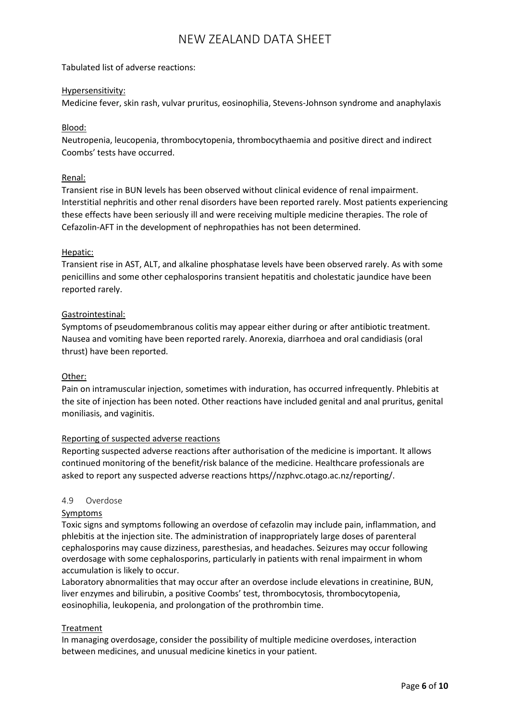Tabulated list of adverse reactions:

#### Hypersensitivity:

Medicine fever, skin rash, vulvar pruritus, eosinophilia, Stevens-Johnson syndrome and anaphylaxis

#### Blood:

Neutropenia, leucopenia, thrombocytopenia, thrombocythaemia and positive direct and indirect Coombs' tests have occurred.

#### Renal:

Transient rise in BUN levels has been observed without clinical evidence of renal impairment. Interstitial nephritis and other renal disorders have been reported rarely. Most patients experiencing these effects have been seriously ill and were receiving multiple medicine therapies. The role of Cefazolin-AFT in the development of nephropathies has not been determined.

#### Hepatic:

Transient rise in AST, ALT, and alkaline phosphatase levels have been observed rarely. As with some penicillins and some other cephalosporins transient hepatitis and cholestatic jaundice have been reported rarely.

#### Gastrointestinal:

Symptoms of pseudomembranous colitis may appear either during or after antibiotic treatment. Nausea and vomiting have been reported rarely. Anorexia, diarrhoea and oral candidiasis (oral thrust) have been reported.

#### Other:

Pain on intramuscular injection, sometimes with induration, has occurred infrequently. Phlebitis at the site of injection has been noted. Other reactions have included genital and anal pruritus, genital moniliasis, and vaginitis.

#### Reporting of suspected adverse reactions

Reporting suspected adverse reactions after authorisation of the medicine is important. It allows continued monitoring of the benefit/risk balance of the medicine. Healthcare professionals are asked to report any suspected adverse reactions https//nzphvc.otago.ac.nz/reporting/.

#### 4.9 Overdose

#### Symptoms

Toxic signs and symptoms following an overdose of cefazolin may include pain, inflammation, and phlebitis at the injection site. The administration of inappropriately large doses of parenteral cephalosporins may cause dizziness, paresthesias, and headaches. Seizures may occur following overdosage with some cephalosporins, particularly in patients with renal impairment in whom accumulation is likely to occur.

Laboratory abnormalities that may occur after an overdose include elevations in creatinine, BUN, liver enzymes and bilirubin, a positive Coombs' test, thrombocytosis, thrombocytopenia, eosinophilia, leukopenia, and prolongation of the prothrombin time.

#### Treatment

In managing overdosage, consider the possibility of multiple medicine overdoses, interaction between medicines, and unusual medicine kinetics in your patient.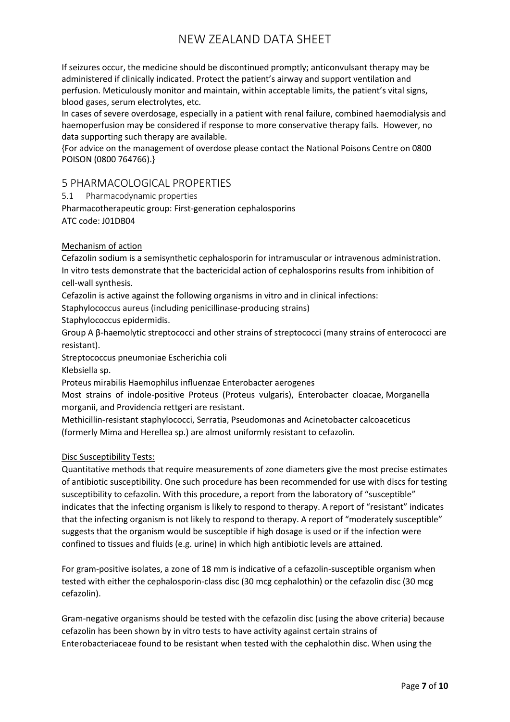If seizures occur, the medicine should be discontinued promptly; anticonvulsant therapy may be administered if clinically indicated. Protect the patient's airway and support ventilation and perfusion. Meticulously monitor and maintain, within acceptable limits, the patient's vital signs, blood gases, serum electrolytes, etc.

In cases of severe overdosage, especially in a patient with renal failure, combined haemodialysis and haemoperfusion may be considered if response to more conservative therapy fails. However, no data supporting such therapy are available.

{For advice on the management of overdose please contact the National Poisons Centre on 0800 POISON (0800 764766).}

### 5 PHARMACOLOGICAL PROPERTIES

5.1 Pharmacodynamic properties

Pharmacotherapeutic group: First-generation cephalosporins ATC code: J01DB04

#### Mechanism of action

Cefazolin sodium is a semisynthetic cephalosporin for intramuscular or intravenous administration. In vitro tests demonstrate that the bactericidal action of cephalosporins results from inhibition of cell-wall synthesis.

Cefazolin is active against the following organisms in vitro and in clinical infections:

Staphylococcus aureus (including penicillinase-producing strains)

Staphylococcus epidermidis.

Group A β-haemolytic streptococci and other strains of streptococci (many strains of enterococci are resistant).

Streptococcus pneumoniae Escherichia coli

Klebsiella sp.

Proteus mirabilis Haemophilus influenzae Enterobacter aerogenes

Most strains of indole-positive Proteus (Proteus vulgaris), Enterobacter cloacae, Morganella morganii, and Providencia rettgeri are resistant.

Methicillin-resistant staphylococci, Serratia, Pseudomonas and Acinetobacter calcoaceticus (formerly Mima and Herellea sp.) are almost uniformly resistant to cefazolin.

#### Disc Susceptibility Tests:

Quantitative methods that require measurements of zone diameters give the most precise estimates of antibiotic susceptibility. One such procedure has been recommended for use with discs for testing susceptibility to cefazolin. With this procedure, a report from the laboratory of "susceptible" indicates that the infecting organism is likely to respond to therapy. A report of "resistant" indicates that the infecting organism is not likely to respond to therapy. A report of "moderately susceptible" suggests that the organism would be susceptible if high dosage is used or if the infection were confined to tissues and fluids (e.g. urine) in which high antibiotic levels are attained.

For gram-positive isolates, a zone of 18 mm is indicative of a cefazolin-susceptible organism when tested with either the cephalosporin-class disc (30 mcg cephalothin) or the cefazolin disc (30 mcg cefazolin).

Gram-negative organisms should be tested with the cefazolin disc (using the above criteria) because cefazolin has been shown by in vitro tests to have activity against certain strains of Enterobacteriaceae found to be resistant when tested with the cephalothin disc. When using the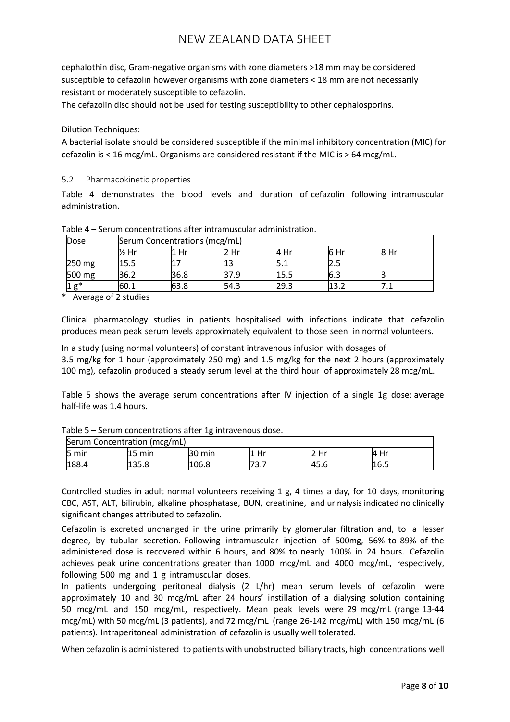cephalothin disc, Gram-negative organisms with zone diameters >18 mm may be considered susceptible to cefazolin however organisms with zone diameters < 18 mm are not necessarily resistant or moderately susceptible to cefazolin.

The cefazolin disc should not be used for testing susceptibility to other cephalosporins.

#### Dilution Techniques:

A bacterial isolate should be considered susceptible if the minimal inhibitory concentration (MIC) for cefazolin is < 16 mcg/mL. Organisms are considered resistant if the MIC is > 64 mcg/mL.

#### 5.2 Pharmacokinetic properties

Table 4 demonstrates the blood levels and duration of cefazolin following intramuscular administration.

| Dose       |      | Serum Concentrations (mcg/mL) |      |       |      |      |  |
|------------|------|-------------------------------|------|-------|------|------|--|
|            | ½ Hr | Hr                            | 2 Hr | l4 Hr | 6 Hr | 8 Hr |  |
| 250 mg     | 15.5 |                               |      |       | ر .  |      |  |
| 500 mg     | 36.2 | 36.8                          | 37.9 |       | lb.3 |      |  |
| $\sigma^*$ | 60.1 | 63.8                          | 54.3 | 29.3  | ר כו | .    |  |

Table 4 – Serum concentrations after intramuscular administration.

\* Average of 2 studies

Clinical pharmacology studies in patients hospitalised with infections indicate that cefazolin produces mean peak serum levels approximately equivalent to those seen in normal volunteers.

In a study (using normal volunteers) of constant intravenous infusion with dosages of 3.5 mg/kg for 1 hour (approximately 250 mg) and 1.5 mg/kg for the next 2 hours (approximately 100 mg), cefazolin produced a steady serum level at the third hour of approximately 28 mcg/mL.

Table 5 shows the average serum concentrations after IV injection of a single 1g dose: average half-life was 1.4 hours.

| Serum Concentration (mcg/mL) |                  |        |              |          |       |
|------------------------------|------------------|--------|--------------|----------|-------|
| 5 min                        | $15 \text{ min}$ | 30 min | Hr           | Hr<br>I2 | l4 Hr |
| 188.4                        | 135.8            | 106.8  | - ר<br>้ว. / | 45.6     | 16.5  |

Table 5 – Serum concentrations after 1g intravenous dose.

Controlled studies in adult normal volunteers receiving 1 g, 4 times a day, for 10 days, monitoring CBC, AST, ALT, bilirubin, alkaline phosphatase, BUN, creatinine, and urinalysis indicated no clinically significant changes attributed to cefazolin.

Cefazolin is excreted unchanged in the urine primarily by glomerular filtration and, to a lesser degree, by tubular secretion. Following intramuscular injection of 500mg, 56% to 89% of the administered dose is recovered within 6 hours, and 80% to nearly 100% in 24 hours. Cefazolin achieves peak urine concentrations greater than 1000 mcg/mL and 4000 mcg/mL, respectively, following 500 mg and 1 g intramuscular doses.

In patients undergoing peritoneal dialysis (2 L/hr) mean serum levels of cefazolin were approximately 10 and 30 mcg/mL after 24 hours' instillation of a dialysing solution containing 50 mcg/mL and 150 mcg/mL, respectively. Mean peak levels were 29 mcg/mL (range 13-44 mcg/mL) with 50 mcg/mL (3 patients), and 72 mcg/mL (range 26-142 mcg/mL) with 150 mcg/mL (6 patients). Intraperitoneal administration of cefazolin is usually well tolerated.

When cefazolin is administered to patients with unobstructed biliary tracts, high concentrations well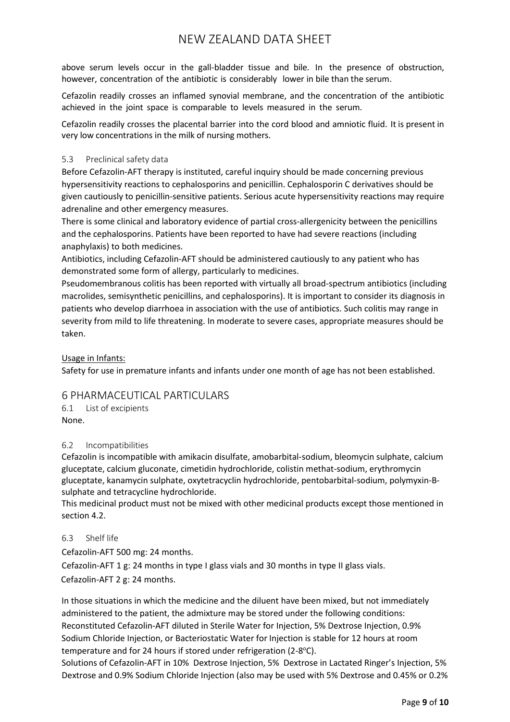above serum levels occur in the gall-bladder tissue and bile. In the presence of obstruction, however, concentration of the antibiotic is considerably lower in bile than the serum.

Cefazolin readily crosses an inflamed synovial membrane, and the concentration of the antibiotic achieved in the joint space is comparable to levels measured in the serum.

Cefazolin readily crosses the placental barrier into the cord blood and amniotic fluid. It is present in very low concentrations in the milk of nursing mothers.

### 5.3 Preclinical safety data

Before Cefazolin-AFT therapy is instituted, careful inquiry should be made concerning previous hypersensitivity reactions to cephalosporins and penicillin. Cephalosporin C derivatives should be given cautiously to penicillin-sensitive patients. Serious acute hypersensitivity reactions may require adrenaline and other emergency measures.

There is some clinical and laboratory evidence of partial cross-allergenicity between the penicillins and the cephalosporins. Patients have been reported to have had severe reactions (including anaphylaxis) to both medicines.

Antibiotics, including Cefazolin-AFT should be administered cautiously to any patient who has demonstrated some form of allergy, particularly to medicines.

Pseudomembranous colitis has been reported with virtually all broad-spectrum antibiotics (including macrolides, semisynthetic penicillins, and cephalosporins). It is important to consider its diagnosis in patients who develop diarrhoea in association with the use of antibiotics. Such colitis may range in severity from mild to life threatening. In moderate to severe cases, appropriate measures should be taken.

Usage in Infants:

Safety for use in premature infants and infants under one month of age has not been established.

## 6 PHARMACEUTICAL PARTICULARS

6.1 List of excipients None.

#### 6.2 Incompatibilities

Cefazolin is incompatible with amikacin disulfate, amobarbital-sodium, bleomycin sulphate, calcium gluceptate, calcium gluconate, cimetidin hydrochloride, colistin methat-sodium, erythromycin gluceptate, kanamycin sulphate, oxytetracyclin hydrochloride, pentobarbital-sodium, polymyxin-Bsulphate and tetracycline hydrochloride.

This medicinal product must not be mixed with other medicinal products except those mentioned in section 4.2.

#### 6.3 Shelf life

Cefazolin-AFT 500 mg: 24 months.

Cefazolin-AFT 1 g: 24 months in type I glass vials and 30 months in type II glass vials. Cefazolin-AFT 2 g: 24 months.

In those situations in which the medicine and the diluent have been mixed, but not immediately administered to the patient, the admixture may be stored under the following conditions: Reconstituted Cefazolin-AFT diluted in Sterile Water for Injection, 5% Dextrose Injection, 0.9% Sodium Chloride Injection, or Bacteriostatic Water for Injection is stable for 12 hours at room temperature and for 24 hours if stored under refrigeration (2-8°C).

Solutions of Cefazolin-AFT in 10% Dextrose Injection, 5% Dextrose in Lactated Ringer's Injection, 5% Dextrose and 0.9% Sodium Chloride Injection (also may be used with 5% Dextrose and 0.45% or 0.2%